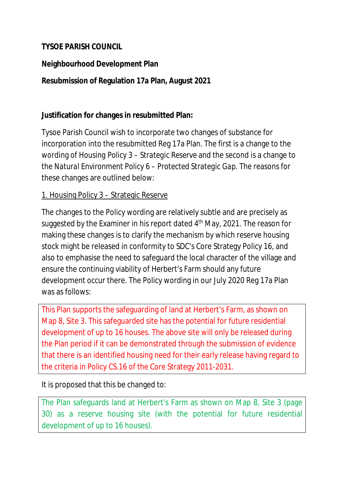## **TYSOE PARISH COUNCIL**

### **Neighbourhood Development Plan**

## **Resubmission of Regulation 17a Plan, August 2021**

### **Justification for changes in resubmitted Plan:**

Tysoe Parish Council wish to incorporate two changes of substance for incorporation into the resubmitted Reg 17a Plan. The first is a change to the wording of *Housing Policy 3 – Strategic Reserve* and the second is a change to the *Natural Environment Policy 6 – Protected Strategic Gap*. The reasons for these changes are outlined below:

### 1. Housing Policy 3 – Strategic Reserve

The changes to the Policy wording are relatively subtle and are precisely as suggested by the Examiner in his report dated 4<sup>th</sup> May, 2021. The reason for making these changes is to clarify the mechanism by which reserve housing stock might be released in conformity to SDC's Core Strategy Policy 16, and also to emphasise the need to safeguard the local character of the village and ensure the continuing viability of Herbert's Farm should any future development occur there. The Policy wording in our July 2020 Reg 17a Plan was as follows:

This Plan supports the safeguarding of land at Herbert's Farm, as shown on Map 8, Site 3. This safeguarded site has the potential for future residential development of up to 16 houses. The above site will only be released during the Plan period if it can be demonstrated through the submission of evidence that there is an identified housing need for their early release having regard to the criteria in Policy CS.16 of the Core Strategy 2011-2031.

It is proposed that this be changed to:

The Plan safeguards land at Herbert's Farm as shown on Map 8, Site 3 (page 30) as a reserve housing site (with the potential for future residential development of up to 16 houses).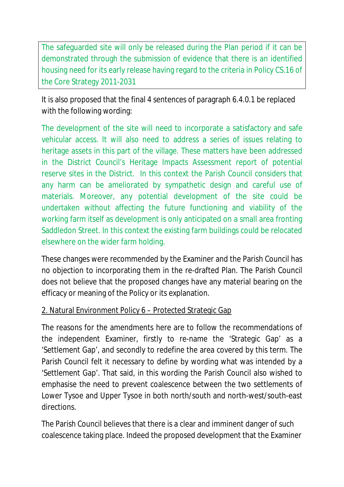The safeguarded site will only be released during the Plan period if it can be demonstrated through the submission of evidence that there is an identified housing need for its early release having regard to the criteria in Policy CS.16 of the Core Strategy 2011-2031

It is also proposed that the final 4 sentences of paragraph 6.4.0.1 be replaced with the following wording:

The development of the site will need to incorporate a satisfactory and safe vehicular access. It will also need to address a series of issues relating to heritage assets in this part of the village. These matters have been addressed in the District Council's Heritage Impacts Assessment report of potential reserve sites in the District. In this context the Parish Council considers that any harm can be ameliorated by sympathetic design and careful use of materials. Moreover, any potential development of the site could be undertaken without affecting the future functioning and viability of the working farm itself as development is only anticipated on a small area fronting Saddledon Street. In this context the existing farm buildings could be relocated elsewhere on the wider farm holding.

These changes were recommended by the Examiner and the Parish Council has no objection to incorporating them in the re-drafted Plan. The Parish Council does not believe that the proposed changes have any material bearing on the efficacy or meaning of the Policy or its explanation.

# 2. Natural Environment Policy 6 – Protected Strategic Gap

The reasons for the amendments here are to follow the recommendations of the independent Examiner, firstly to re-name the 'Strategic Gap' as a 'Settlement Gap', and secondly to redefine the area covered by this term. The Parish Council felt it necessary to define by wording what was intended by a 'Settlement Gap'. That said, in this wording the Parish Council also wished to emphasise the need to prevent coalescence between the two settlements of Lower Tysoe and Upper Tysoe in both north/south and north-west/south-east directions.

The Parish Council believes that there is a clear and imminent danger of such coalescence taking place. Indeed the proposed development that the Examiner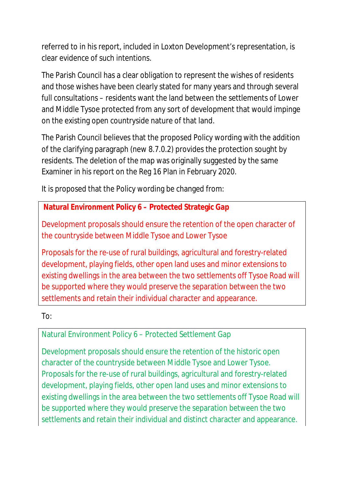referred to in his report, included in Loxton Development's representation, is clear evidence of such intentions.

The Parish Council has a clear obligation to represent the wishes of residents and those wishes have been clearly stated for many years and through several full consultations – residents want the land between the settlements of Lower and Middle Tysoe protected from any sort of development that would impinge on the existing open countryside nature of that land.

The Parish Council believes that the proposed Policy wording with the addition of the clarifying paragraph (new 8.7.0.2) provides the protection sought by residents. The deletion of the map was originally suggested by the same Examiner in his report on the Reg 16 Plan in February 2020.

It is proposed that the Policy wording be changed from:

# **Natural Environment Policy 6 – Protected Strategic Gap**

Development proposals should ensure the retention of the open character of the countryside between Middle Tysoe and Lower Tysoe

Proposals for the re-use of rural buildings, agricultural and forestry-related development, playing fields, other open land uses and minor extensions to existing dwellings in the area between the two settlements off Tysoe Road will be supported where they would preserve the separation between the two settlements and retain their individual character and appearance.

To:

# Natural Environment Policy 6 – Protected Settlement Gap

Development proposals should ensure the retention of the historic open character of the countryside between Middle Tysoe and Lower Tysoe. Proposals for the re-use of rural buildings, agricultural and forestry-related development, playing fields, other open land uses and minor extensions to existing dwellings in the area between the two settlements off Tysoe Road will be supported where they would preserve the separation between the two settlements and retain their individual and distinct character and appearance.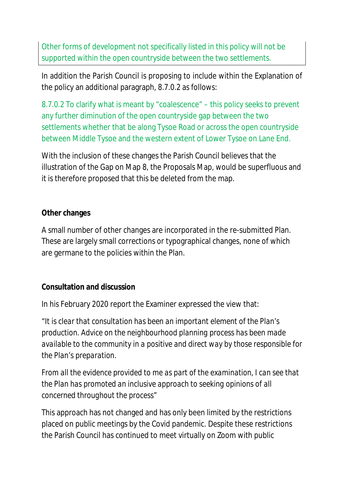Other forms of development not specifically listed in this policy will not be supported within the open countryside between the two settlements.

In addition the Parish Council is proposing to include within the Explanation of the policy an additional paragraph, 8.7.0.2 as follows:

8.7.0.2 To clarify what is meant by "coalescence" – this policy seeks to prevent any further diminution of the open countryside gap between the two settlements whether that be along Tysoe Road or across the open countryside between Middle Tysoe and the western extent of Lower Tysoe on Lane End.

With the inclusion of these changes the Parish Council believes that the illustration of the Gap on Map 8, the Proposals Map, would be superfluous and it is therefore proposed that this be deleted from the map.

### **Other changes**

A small number of other changes are incorporated in the re-submitted Plan. These are largely small corrections or typographical changes, none of which are germane to the policies within the Plan.

### **Consultation and discussion**

In his February 2020 report the Examiner expressed the view that:

*"It is clear that consultation has been an important element of the Plan's production. Advice on the neighbourhood planning process has been made available to the community in a positive and direct way by those responsible for the Plan's preparation.*

*From all the evidence provided to me as part of the examination, I can see that the Plan has promoted an inclusive approach to seeking opinions of all concerned throughout the process"*

This approach has not changed and has only been limited by the restrictions placed on public meetings by the Covid pandemic. Despite these restrictions the Parish Council has continued to meet virtually on Zoom with public